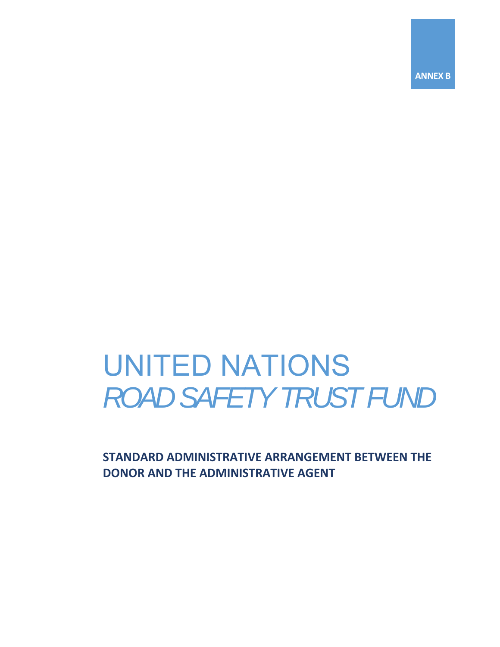**ANNEX B** 

# UNITED NATIONS *ROAD SAFETY TRUST FUND*

**STANDARD ADMINISTRATIVE ARRANGEMENT BETWEEN THE DONOR AND THE ADMINISTRATIVE AGENT**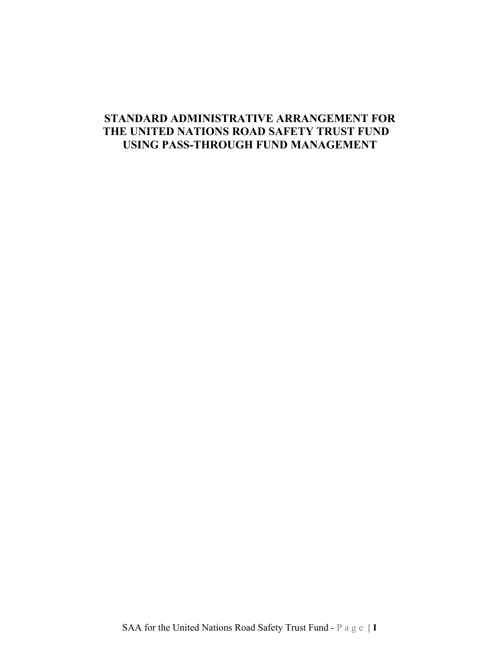# **STANDARD ADMINISTRATIVE ARRANGEMENT FOR THE UNITED NATIONS ROAD SAFETY TRUST FUND USING PASS-THROUGH FUND MANAGEMENT**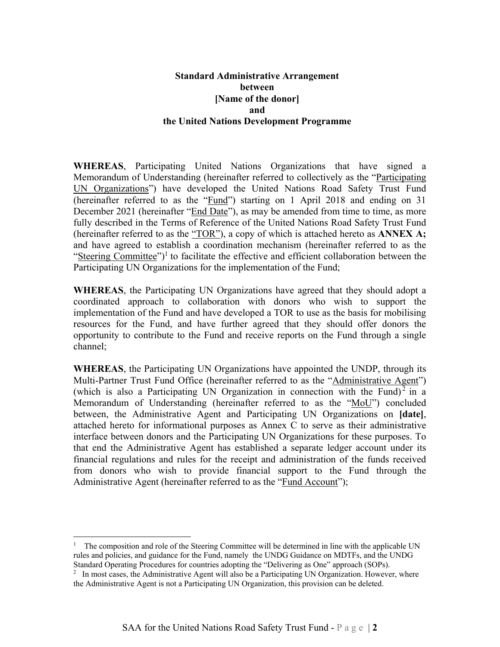# **Standard Administrative Arrangement between [Name of the donor] and the United Nations Development Programme**

**WHEREAS**, Participating United Nations Organizations that have signed a Memorandum of Understanding (hereinafter referred to collectively as the "Participating UN Organizations") have developed the United Nations Road Safety Trust Fund (hereinafter referred to as the "Fund") starting on 1 April 2018 and ending on 31 December 2021 (hereinafter "End Date"), as may be amended from time to time, as more fully described in the Terms of Reference of the United Nations Road Safety Trust Fund (hereinafter referred to as the "TOR"), a copy of which is attached hereto as **ANNEX A;** and have agreed to establish a coordination mechanism (hereinafter referred to as the "Steering Committee")<sup>1</sup> to facilitate the effective and efficient collaboration between the Participating UN Organizations for the implementation of the Fund;

**WHEREAS**, the Participating UN Organizations have agreed that they should adopt a coordinated approach to collaboration with donors who wish to support the implementation of the Fund and have developed a TOR to use as the basis for mobilising resources for the Fund, and have further agreed that they should offer donors the opportunity to contribute to the Fund and receive reports on the Fund through a single channel;

**WHEREAS**, the Participating UN Organizations have appointed the UNDP, through its Multi-Partner Trust Fund Office (hereinafter referred to as the "Administrative Agent") (which is also a Participating UN Organization in connection with the Fund)<sup>2</sup> in a Memorandum of Understanding (hereinafter referred to as the "MoU") concluded between, the Administrative Agent and Participating UN Organizations on **[date]**, attached hereto for informational purposes as Annex C to serve as their administrative interface between donors and the Participating UN Organizations for these purposes. To that end the Administrative Agent has established a separate ledger account under its financial regulations and rules for the receipt and administration of the funds received from donors who wish to provide financial support to the Fund through the Administrative Agent (hereinafter referred to as the "Fund Account");

 $\overline{a}$ 

<sup>&</sup>lt;sup>1</sup> The composition and role of the Steering Committee will be determined in line with the applicable UN rules and policies, and guidance for the Fund, namely the UNDG Guidance on MDTFs, and the UNDG Standard Operating Procedures for countries adopting the "Delivering as One" approach (SOPs).

<sup>&</sup>lt;sup>2</sup> In most cases, the Administrative Agent will also be a Participating UN Organization. However, where the Administrative Agent is not a Participating UN Organization, this provision can be deleted.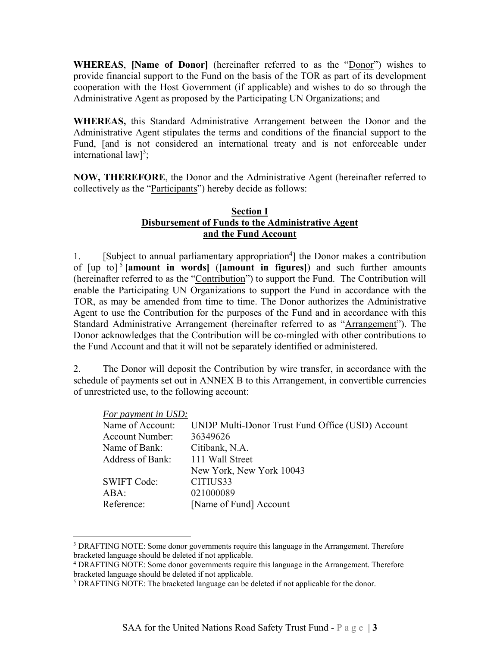**WHEREAS**, **[Name of Donor]** (hereinafter referred to as the "Donor") wishes to provide financial support to the Fund on the basis of the TOR as part of its development cooperation with the Host Government (if applicable) and wishes to do so through the Administrative Agent as proposed by the Participating UN Organizations; and

**WHEREAS,** this Standard Administrative Arrangement between the Donor and the Administrative Agent stipulates the terms and conditions of the financial support to the Fund, [and is not considered an international treaty and is not enforceable under international  $law$ <sup>3</sup>;

**NOW, THEREFORE**, the Donor and the Administrative Agent (hereinafter referred to collectively as the "Participants") hereby decide as follows:

# **Section I Disbursement of Funds to the Administrative Agent and the Fund Account**

1. [Subject to annual parliamentary appropriation<sup>4</sup>] the Donor makes a contribution of  $[\text{up to}]$ <sup>5</sup> [amount in words] ([amount in figures]) and such further amounts (hereinafter referred to as the "Contribution") to support the Fund. The Contribution will enable the Participating UN Organizations to support the Fund in accordance with the TOR, as may be amended from time to time. The Donor authorizes the Administrative Agent to use the Contribution for the purposes of the Fund and in accordance with this Standard Administrative Arrangement (hereinafter referred to as "Arrangement"). The Donor acknowledges that the Contribution will be co-mingled with other contributions to the Fund Account and that it will not be separately identified or administered.

2. The Donor will deposit the Contribution by wire transfer, in accordance with the schedule of payments set out in ANNEX B to this Arrangement, in convertible currencies of unrestricted use, to the following account:

#### *For payment in USD:*

1

| Name of Account:       | UNDP Multi-Donor Trust Fund Office (USD) Account |
|------------------------|--------------------------------------------------|
| <b>Account Number:</b> | 36349626                                         |
| Name of Bank:          | Citibank, N.A.                                   |
| Address of Bank:       | 111 Wall Street                                  |
|                        | New York, New York 10043                         |
| <b>SWIFT Code:</b>     | CITIUS33                                         |
| ABA:                   | 021000089                                        |
| Reference:             | [Name of Fund] Account                           |
|                        |                                                  |

<sup>&</sup>lt;sup>3</sup> DRAFTING NOTE: Some donor governments require this language in the Arrangement. Therefore bracketed language should be deleted if not applicable.

<sup>4</sup> DRAFTING NOTE: Some donor governments require this language in the Arrangement. Therefore bracketed language should be deleted if not applicable.

<sup>&</sup>lt;sup>5</sup> DRAFTING NOTE: The bracketed language can be deleted if not applicable for the donor.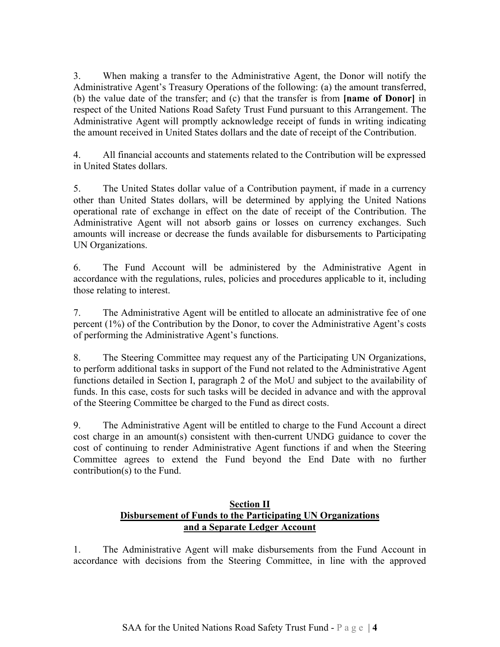3. When making a transfer to the Administrative Agent, the Donor will notify the Administrative Agent's Treasury Operations of the following: (a) the amount transferred, (b) the value date of the transfer; and (c) that the transfer is from **[name of Donor]** in respect of the United Nations Road Safety Trust Fund pursuant to this Arrangement. The Administrative Agent will promptly acknowledge receipt of funds in writing indicating the amount received in United States dollars and the date of receipt of the Contribution.

4. All financial accounts and statements related to the Contribution will be expressed in United States dollars.

5. The United States dollar value of a Contribution payment, if made in a currency other than United States dollars, will be determined by applying the United Nations operational rate of exchange in effect on the date of receipt of the Contribution. The Administrative Agent will not absorb gains or losses on currency exchanges. Such amounts will increase or decrease the funds available for disbursements to Participating UN Organizations.

6. The Fund Account will be administered by the Administrative Agent in accordance with the regulations, rules, policies and procedures applicable to it, including those relating to interest.

7. The Administrative Agent will be entitled to allocate an administrative fee of one percent (1%) of the Contribution by the Donor, to cover the Administrative Agent's costs of performing the Administrative Agent's functions.

8. The Steering Committee may request any of the Participating UN Organizations, to perform additional tasks in support of the Fund not related to the Administrative Agent functions detailed in Section I, paragraph 2 of the MoU and subject to the availability of funds. In this case, costs for such tasks will be decided in advance and with the approval of the Steering Committee be charged to the Fund as direct costs.

9. The Administrative Agent will be entitled to charge to the Fund Account a direct cost charge in an amount(s) consistent with then-current UNDG guidance to cover the cost of continuing to render Administrative Agent functions if and when the Steering Committee agrees to extend the Fund beyond the End Date with no further contribution(s) to the Fund.

# **Section II Disbursement of Funds to the Participating UN Organizations and a Separate Ledger Account**

1. The Administrative Agent will make disbursements from the Fund Account in accordance with decisions from the Steering Committee, in line with the approved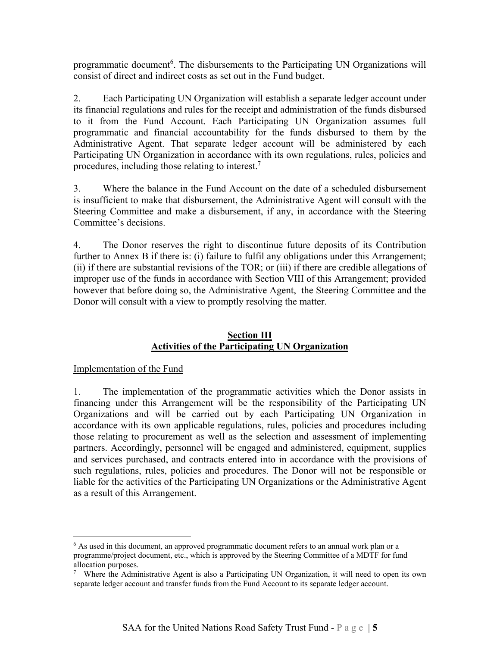programmatic document<sup>6</sup>. The disbursements to the Participating UN Organizations will consist of direct and indirect costs as set out in the Fund budget.

2. Each Participating UN Organization will establish a separate ledger account under its financial regulations and rules for the receipt and administration of the funds disbursed to it from the Fund Account. Each Participating UN Organization assumes full programmatic and financial accountability for the funds disbursed to them by the Administrative Agent. That separate ledger account will be administered by each Participating UN Organization in accordance with its own regulations, rules, policies and procedures, including those relating to interest. $7$ 

3. Where the balance in the Fund Account on the date of a scheduled disbursement is insufficient to make that disbursement, the Administrative Agent will consult with the Steering Committee and make a disbursement, if any, in accordance with the Steering Committee's decisions.

4. The Donor reserves the right to discontinue future deposits of its Contribution further to Annex B if there is: (i) failure to fulfil any obligations under this Arrangement; (ii) if there are substantial revisions of the TOR; or (iii) if there are credible allegations of improper use of the funds in accordance with Section VIII of this Arrangement; provided however that before doing so, the Administrative Agent, the Steering Committee and the Donor will consult with a view to promptly resolving the matter.

# **Section III Activities of the Participating UN Organization**

# Implementation of the Fund

 $\overline{a}$ 

1. The implementation of the programmatic activities which the Donor assists in financing under this Arrangement will be the responsibility of the Participating UN Organizations and will be carried out by each Participating UN Organization in accordance with its own applicable regulations, rules, policies and procedures including those relating to procurement as well as the selection and assessment of implementing partners. Accordingly, personnel will be engaged and administered, equipment, supplies and services purchased, and contracts entered into in accordance with the provisions of such regulations, rules, policies and procedures. The Donor will not be responsible or liable for the activities of the Participating UN Organizations or the Administrative Agent as a result of this Arrangement.

<sup>&</sup>lt;sup>6</sup> As used in this document, an approved programmatic document refers to an annual work plan or a programme/project document, etc., which is approved by the Steering Committee of a MDTF for fund allocation purposes.

<sup>7</sup> Where the Administrative Agent is also a Participating UN Organization, it will need to open its own separate ledger account and transfer funds from the Fund Account to its separate ledger account.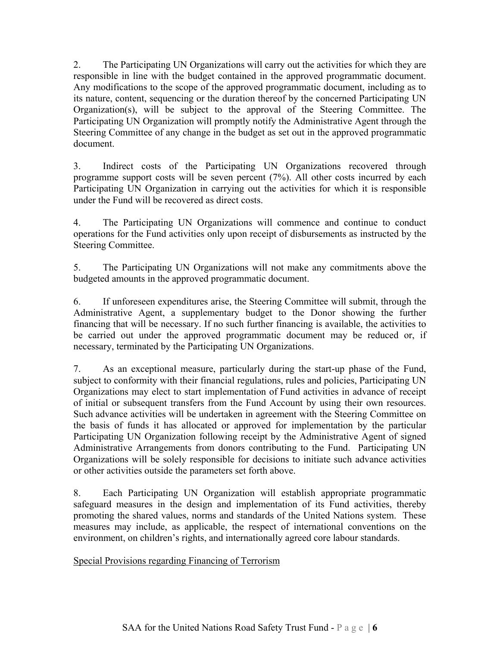2. The Participating UN Organizations will carry out the activities for which they are responsible in line with the budget contained in the approved programmatic document. Any modifications to the scope of the approved programmatic document, including as to its nature, content, sequencing or the duration thereof by the concerned Participating UN Organization(s), will be subject to the approval of the Steering Committee. The Participating UN Organization will promptly notify the Administrative Agent through the Steering Committee of any change in the budget as set out in the approved programmatic document.

3. Indirect costs of the Participating UN Organizations recovered through programme support costs will be seven percent (7%). All other costs incurred by each Participating UN Organization in carrying out the activities for which it is responsible under the Fund will be recovered as direct costs.

4. The Participating UN Organizations will commence and continue to conduct operations for the Fund activities only upon receipt of disbursements as instructed by the Steering Committee.

5. The Participating UN Organizations will not make any commitments above the budgeted amounts in the approved programmatic document.

6. If unforeseen expenditures arise, the Steering Committee will submit, through the Administrative Agent, a supplementary budget to the Donor showing the further financing that will be necessary. If no such further financing is available, the activities to be carried out under the approved programmatic document may be reduced or, if necessary, terminated by the Participating UN Organizations.

7. As an exceptional measure, particularly during the start-up phase of the Fund, subject to conformity with their financial regulations, rules and policies, Participating UN Organizations may elect to start implementation of Fund activities in advance of receipt of initial or subsequent transfers from the Fund Account by using their own resources. Such advance activities will be undertaken in agreement with the Steering Committee on the basis of funds it has allocated or approved for implementation by the particular Participating UN Organization following receipt by the Administrative Agent of signed Administrative Arrangements from donors contributing to the Fund. Participating UN Organizations will be solely responsible for decisions to initiate such advance activities or other activities outside the parameters set forth above.

8. Each Participating UN Organization will establish appropriate programmatic safeguard measures in the design and implementation of its Fund activities, thereby promoting the shared values, norms and standards of the United Nations system. These measures may include, as applicable, the respect of international conventions on the environment, on children's rights, and internationally agreed core labour standards.

Special Provisions regarding Financing of Terrorism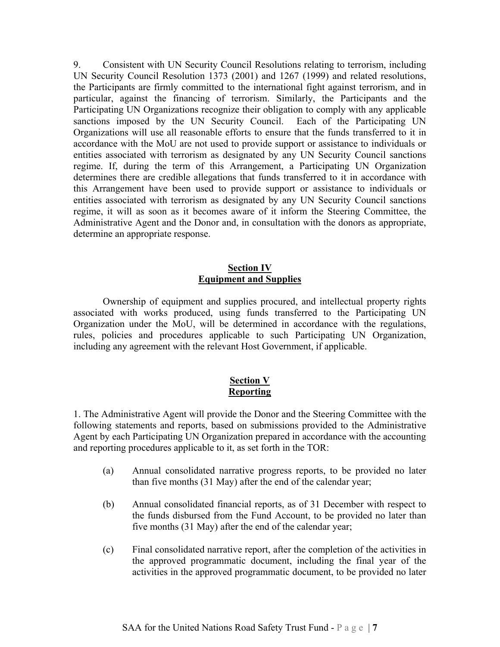9. Consistent with UN Security Council Resolutions relating to terrorism, including UN Security Council Resolution 1373 (2001) and 1267 (1999) and related resolutions, the Participants are firmly committed to the international fight against terrorism, and in particular, against the financing of terrorism. Similarly, the Participants and the Participating UN Organizations recognize their obligation to comply with any applicable sanctions imposed by the UN Security Council. Each of the Participating UN Organizations will use all reasonable efforts to ensure that the funds transferred to it in accordance with the MoU are not used to provide support or assistance to individuals or entities associated with terrorism as designated by any UN Security Council sanctions regime. If, during the term of this Arrangement, a Participating UN Organization determines there are credible allegations that funds transferred to it in accordance with this Arrangement have been used to provide support or assistance to individuals or entities associated with terrorism as designated by any UN Security Council sanctions regime, it will as soon as it becomes aware of it inform the Steering Committee, the Administrative Agent and the Donor and, in consultation with the donors as appropriate, determine an appropriate response.

# **Section IV Equipment and Supplies**

 Ownership of equipment and supplies procured, and intellectual property rights associated with works produced, using funds transferred to the Participating UN Organization under the MoU, will be determined in accordance with the regulations, rules, policies and procedures applicable to such Participating UN Organization, including any agreement with the relevant Host Government, if applicable.

# **Section V Reporting**

1. The Administrative Agent will provide the Donor and the Steering Committee with the following statements and reports, based on submissions provided to the Administrative Agent by each Participating UN Organization prepared in accordance with the accounting and reporting procedures applicable to it, as set forth in the TOR:

- (a) Annual consolidated narrative progress reports, to be provided no later than five months (31 May) after the end of the calendar year;
- (b) Annual consolidated financial reports, as of 31 December with respect to the funds disbursed from the Fund Account, to be provided no later than five months (31 May) after the end of the calendar year;
- (c) Final consolidated narrative report, after the completion of the activities in the approved programmatic document, including the final year of the activities in the approved programmatic document, to be provided no later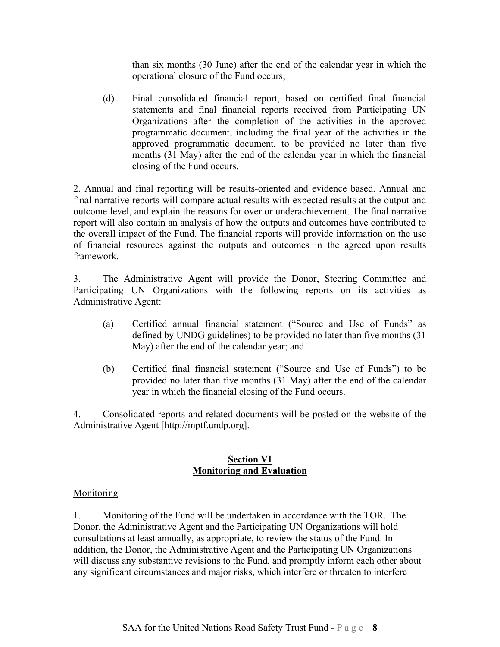than six months (30 June) after the end of the calendar year in which the operational closure of the Fund occurs;

(d) Final consolidated financial report, based on certified final financial statements and final financial reports received from Participating UN Organizations after the completion of the activities in the approved programmatic document, including the final year of the activities in the approved programmatic document, to be provided no later than five months (31 May) after the end of the calendar year in which the financial closing of the Fund occurs.

2. Annual and final reporting will be results-oriented and evidence based. Annual and final narrative reports will compare actual results with expected results at the output and outcome level, and explain the reasons for over or underachievement. The final narrative report will also contain an analysis of how the outputs and outcomes have contributed to the overall impact of the Fund. The financial reports will provide information on the use of financial resources against the outputs and outcomes in the agreed upon results framework.

3. The Administrative Agent will provide the Donor, Steering Committee and Participating UN Organizations with the following reports on its activities as Administrative Agent:

- (a) Certified annual financial statement ("Source and Use of Funds" as defined by UNDG guidelines) to be provided no later than five months (31 May) after the end of the calendar year; and
- (b) Certified final financial statement ("Source and Use of Funds") to be provided no later than five months (31 May) after the end of the calendar year in which the financial closing of the Fund occurs.

4. Consolidated reports and related documents will be posted on the website of the Administrative Agent [http://mptf.undp.org].

# **Section VI Monitoring and Evaluation**

# **Monitoring**

1. Monitoring of the Fund will be undertaken in accordance with the TOR. The Donor, the Administrative Agent and the Participating UN Organizations will hold consultations at least annually, as appropriate, to review the status of the Fund. In addition, the Donor, the Administrative Agent and the Participating UN Organizations will discuss any substantive revisions to the Fund, and promptly inform each other about any significant circumstances and major risks, which interfere or threaten to interfere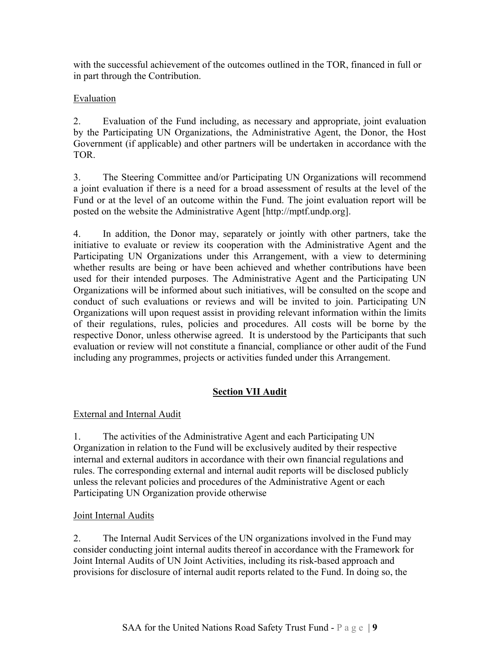with the successful achievement of the outcomes outlined in the TOR, financed in full or in part through the Contribution.

# **Evaluation**

2. Evaluation of the Fund including, as necessary and appropriate, joint evaluation by the Participating UN Organizations, the Administrative Agent, the Donor, the Host Government (if applicable) and other partners will be undertaken in accordance with the TOR.

3. The Steering Committee and/or Participating UN Organizations will recommend a joint evaluation if there is a need for a broad assessment of results at the level of the Fund or at the level of an outcome within the Fund. The joint evaluation report will be posted on the website the Administrative Agent [http://mptf.undp.org].

4. In addition, the Donor may, separately or jointly with other partners, take the initiative to evaluate or review its cooperation with the Administrative Agent and the Participating UN Organizations under this Arrangement, with a view to determining whether results are being or have been achieved and whether contributions have been used for their intended purposes. The Administrative Agent and the Participating UN Organizations will be informed about such initiatives, will be consulted on the scope and conduct of such evaluations or reviews and will be invited to join. Participating UN Organizations will upon request assist in providing relevant information within the limits of their regulations, rules, policies and procedures. All costs will be borne by the respective Donor, unless otherwise agreed. It is understood by the Participants that such evaluation or review will not constitute a financial, compliance or other audit of the Fund including any programmes, projects or activities funded under this Arrangement.

# **Section VII Audit**

# External and Internal Audit

1. The activities of the Administrative Agent and each Participating UN Organization in relation to the Fund will be exclusively audited by their respective internal and external auditors in accordance with their own financial regulations and rules. The corresponding external and internal audit reports will be disclosed publicly unless the relevant policies and procedures of the Administrative Agent or each Participating UN Organization provide otherwise

# **Joint Internal Audits**

2. The Internal Audit Services of the UN organizations involved in the Fund may consider conducting joint internal audits thereof in accordance with the Framework for Joint Internal Audits of UN Joint Activities, including its risk-based approach and provisions for disclosure of internal audit reports related to the Fund. In doing so, the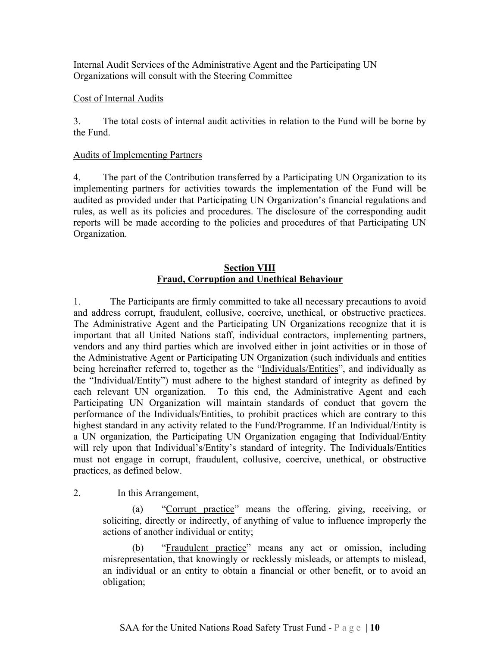Internal Audit Services of the Administrative Agent and the Participating UN Organizations will consult with the Steering Committee

### Cost of Internal Audits

3. The total costs of internal audit activities in relation to the Fund will be borne by the Fund.

### Audits of Implementing Partners

4. The part of the Contribution transferred by a Participating UN Organization to its implementing partners for activities towards the implementation of the Fund will be audited as provided under that Participating UN Organization's financial regulations and rules, as well as its policies and procedures. The disclosure of the corresponding audit reports will be made according to the policies and procedures of that Participating UN Organization.

# **Section VIII Fraud, Corruption and Unethical Behaviour**

1. The Participants are firmly committed to take all necessary precautions to avoid and address corrupt, fraudulent, collusive, coercive, unethical, or obstructive practices. The Administrative Agent and the Participating UN Organizations recognize that it is important that all United Nations staff, individual contractors, implementing partners, vendors and any third parties which are involved either in joint activities or in those of the Administrative Agent or Participating UN Organization (such individuals and entities being hereinafter referred to, together as the "Individuals/Entities", and individually as the "Individual/Entity") must adhere to the highest standard of integrity as defined by each relevant UN organization. To this end, the Administrative Agent and each Participating UN Organization will maintain standards of conduct that govern the performance of the Individuals/Entities, to prohibit practices which are contrary to this highest standard in any activity related to the Fund/Programme. If an Individual/Entity is a UN organization, the Participating UN Organization engaging that Individual/Entity will rely upon that Individual's/Entity's standard of integrity. The Individuals/Entities must not engage in corrupt, fraudulent, collusive, coercive, unethical, or obstructive practices, as defined below.

2. In this Arrangement,

(a) "Corrupt practice" means the offering, giving, receiving, or soliciting, directly or indirectly, of anything of value to influence improperly the actions of another individual or entity;

"Fraudulent practice" means any act or omission, including misrepresentation, that knowingly or recklessly misleads, or attempts to mislead, an individual or an entity to obtain a financial or other benefit, or to avoid an obligation;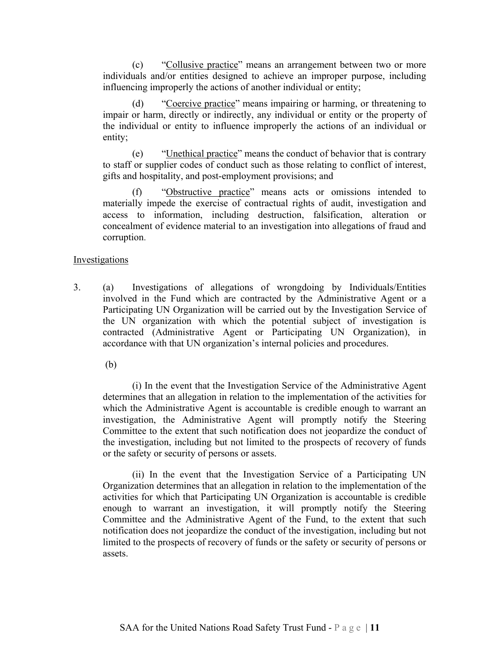(c) "Collusive practice" means an arrangement between two or more individuals and/or entities designed to achieve an improper purpose, including influencing improperly the actions of another individual or entity;

(d) "Coercive practice" means impairing or harming, or threatening to impair or harm, directly or indirectly, any individual or entity or the property of the individual or entity to influence improperly the actions of an individual or entity;

(e) "Unethical practice" means the conduct of behavior that is contrary to staff or supplier codes of conduct such as those relating to conflict of interest, gifts and hospitality, and post-employment provisions; and

(f) "Obstructive practice" means acts or omissions intended to materially impede the exercise of contractual rights of audit, investigation and access to information, including destruction, falsification, alteration or concealment of evidence material to an investigation into allegations of fraud and corruption.

#### Investigations

3. (a) Investigations of allegations of wrongdoing by Individuals/Entities involved in the Fund which are contracted by the Administrative Agent or a Participating UN Organization will be carried out by the Investigation Service of the UN organization with which the potential subject of investigation is contracted (Administrative Agent or Participating UN Organization), in accordance with that UN organization's internal policies and procedures.

(b)

(i) In the event that the Investigation Service of the Administrative Agent determines that an allegation in relation to the implementation of the activities for which the Administrative Agent is accountable is credible enough to warrant an investigation, the Administrative Agent will promptly notify the Steering Committee to the extent that such notification does not jeopardize the conduct of the investigation, including but not limited to the prospects of recovery of funds or the safety or security of persons or assets.

(ii) In the event that the Investigation Service of a Participating UN Organization determines that an allegation in relation to the implementation of the activities for which that Participating UN Organization is accountable is credible enough to warrant an investigation, it will promptly notify the Steering Committee and the Administrative Agent of the Fund, to the extent that such notification does not jeopardize the conduct of the investigation, including but not limited to the prospects of recovery of funds or the safety or security of persons or assets.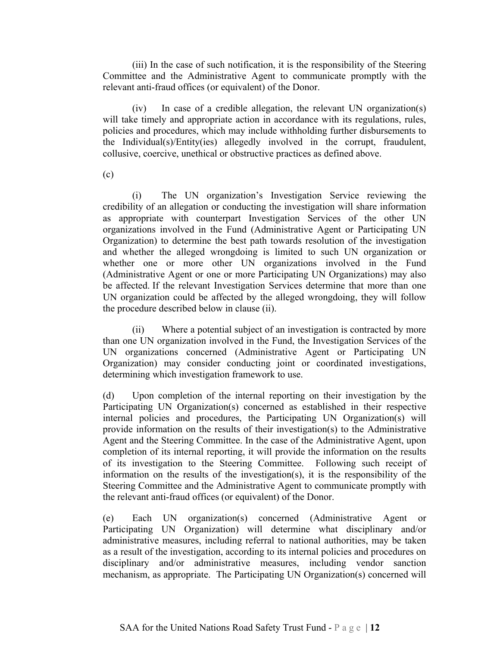(iii) In the case of such notification, it is the responsibility of the Steering Committee and the Administrative Agent to communicate promptly with the relevant anti-fraud offices (or equivalent) of the Donor.

(iv) In case of a credible allegation, the relevant UN organization(s) will take timely and appropriate action in accordance with its regulations, rules, policies and procedures, which may include withholding further disbursements to the Individual(s)/Entity(ies) allegedly involved in the corrupt, fraudulent, collusive, coercive, unethical or obstructive practices as defined above.

(c)

(i) The UN organization's Investigation Service reviewing the credibility of an allegation or conducting the investigation will share information as appropriate with counterpart Investigation Services of the other UN organizations involved in the Fund (Administrative Agent or Participating UN Organization) to determine the best path towards resolution of the investigation and whether the alleged wrongdoing is limited to such UN organization or whether one or more other UN organizations involved in the Fund (Administrative Agent or one or more Participating UN Organizations) may also be affected. If the relevant Investigation Services determine that more than one UN organization could be affected by the alleged wrongdoing, they will follow the procedure described below in clause (ii).

(ii) Where a potential subject of an investigation is contracted by more than one UN organization involved in the Fund, the Investigation Services of the UN organizations concerned (Administrative Agent or Participating UN Organization) may consider conducting joint or coordinated investigations, determining which investigation framework to use.

(d) Upon completion of the internal reporting on their investigation by the Participating UN Organization(s) concerned as established in their respective internal policies and procedures, the Participating UN Organization(s) will provide information on the results of their investigation(s) to the Administrative Agent and the Steering Committee. In the case of the Administrative Agent, upon completion of its internal reporting, it will provide the information on the results of its investigation to the Steering Committee. Following such receipt of information on the results of the investigation(s), it is the responsibility of the Steering Committee and the Administrative Agent to communicate promptly with the relevant anti-fraud offices (or equivalent) of the Donor.

(e) Each UN organization(s) concerned (Administrative Agent or Participating UN Organization) will determine what disciplinary and/or administrative measures, including referral to national authorities, may be taken as a result of the investigation, according to its internal policies and procedures on disciplinary and/or administrative measures, including vendor sanction mechanism, as appropriate. The Participating UN Organization(s) concerned will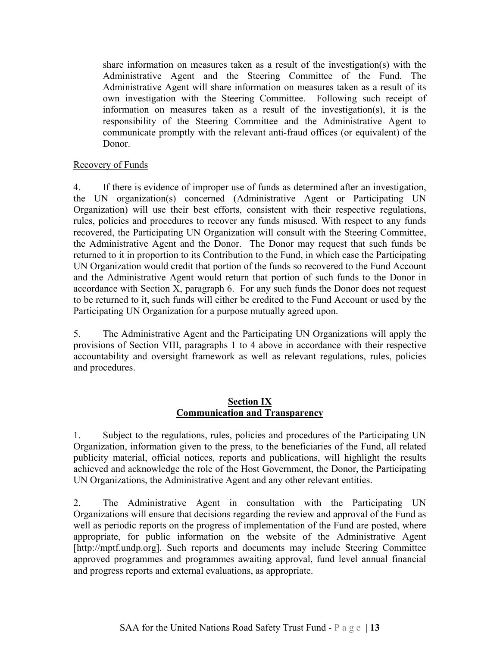share information on measures taken as a result of the investigation(s) with the Administrative Agent and the Steering Committee of the Fund. The Administrative Agent will share information on measures taken as a result of its own investigation with the Steering Committee. Following such receipt of information on measures taken as a result of the investigation(s), it is the responsibility of the Steering Committee and the Administrative Agent to communicate promptly with the relevant anti-fraud offices (or equivalent) of the Donor.

# Recovery of Funds

4. If there is evidence of improper use of funds as determined after an investigation, the UN organization(s) concerned (Administrative Agent or Participating UN Organization) will use their best efforts, consistent with their respective regulations, rules, policies and procedures to recover any funds misused. With respect to any funds recovered, the Participating UN Organization will consult with the Steering Committee, the Administrative Agent and the Donor. The Donor may request that such funds be returned to it in proportion to its Contribution to the Fund, in which case the Participating UN Organization would credit that portion of the funds so recovered to the Fund Account and the Administrative Agent would return that portion of such funds to the Donor in accordance with Section X, paragraph 6. For any such funds the Donor does not request to be returned to it, such funds will either be credited to the Fund Account or used by the Participating UN Organization for a purpose mutually agreed upon.

5. The Administrative Agent and the Participating UN Organizations will apply the provisions of Section VIII, paragraphs 1 to 4 above in accordance with their respective accountability and oversight framework as well as relevant regulations, rules, policies and procedures.

# **Section IX Communication and Transparency**

1. Subject to the regulations, rules, policies and procedures of the Participating UN Organization, information given to the press, to the beneficiaries of the Fund, all related publicity material, official notices, reports and publications, will highlight the results achieved and acknowledge the role of the Host Government, the Donor, the Participating UN Organizations, the Administrative Agent and any other relevant entities.

2. The Administrative Agent in consultation with the Participating UN Organizations will ensure that decisions regarding the review and approval of the Fund as well as periodic reports on the progress of implementation of the Fund are posted, where appropriate, for public information on the website of the Administrative Agent [http://mptf.undp.org]. Such reports and documents may include Steering Committee approved programmes and programmes awaiting approval, fund level annual financial and progress reports and external evaluations, as appropriate.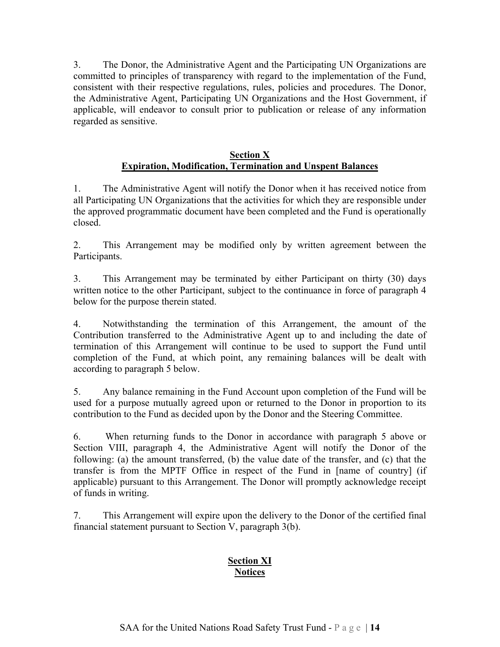3. The Donor, the Administrative Agent and the Participating UN Organizations are committed to principles of transparency with regard to the implementation of the Fund, consistent with their respective regulations, rules, policies and procedures. The Donor, the Administrative Agent, Participating UN Organizations and the Host Government, if applicable, will endeavor to consult prior to publication or release of any information regarded as sensitive.

# **Section X Expiration, Modification, Termination and Unspent Balances**

1. The Administrative Agent will notify the Donor when it has received notice from all Participating UN Organizations that the activities for which they are responsible under the approved programmatic document have been completed and the Fund is operationally closed.

2. This Arrangement may be modified only by written agreement between the Participants.

3. This Arrangement may be terminated by either Participant on thirty (30) days written notice to the other Participant, subject to the continuance in force of paragraph 4 below for the purpose therein stated.

4. Notwithstanding the termination of this Arrangement, the amount of the Contribution transferred to the Administrative Agent up to and including the date of termination of this Arrangement will continue to be used to support the Fund until completion of the Fund, at which point, any remaining balances will be dealt with according to paragraph 5 below.

5. Any balance remaining in the Fund Account upon completion of the Fund will be used for a purpose mutually agreed upon or returned to the Donor in proportion to its contribution to the Fund as decided upon by the Donor and the Steering Committee.

6. When returning funds to the Donor in accordance with paragraph 5 above or Section VIII, paragraph 4, the Administrative Agent will notify the Donor of the following: (a) the amount transferred, (b) the value date of the transfer, and (c) that the transfer is from the MPTF Office in respect of the Fund in [name of country] (if applicable) pursuant to this Arrangement. The Donor will promptly acknowledge receipt of funds in writing.

7. This Arrangement will expire upon the delivery to the Donor of the certified final financial statement pursuant to Section V, paragraph 3(b).

# **Section XI Notices**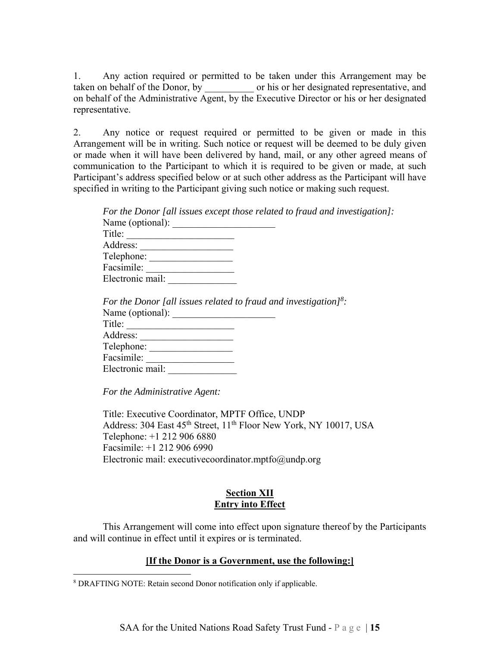1. Any action required or permitted to be taken under this Arrangement may be taken on behalf of the Donor, by or his or her designated representative, and on behalf of the Administrative Agent, by the Executive Director or his or her designated representative.

2. Any notice or request required or permitted to be given or made in this Arrangement will be in writing. Such notice or request will be deemed to be duly given or made when it will have been delivered by hand, mail, or any other agreed means of communication to the Participant to which it is required to be given or made, at such Participant's address specified below or at such other address as the Participant will have specified in writing to the Participant giving such notice or making such request.

| For the Donor [all issues except those related to fraud and investigation]:  |
|------------------------------------------------------------------------------|
| Name (optional):                                                             |
| Title:                                                                       |
|                                                                              |
| Telephone:                                                                   |
| Facsimile:                                                                   |
| Electronic mail:                                                             |
|                                                                              |
| For the Donor [all issues related to fraud and investigation] <sup>8</sup> : |
| Name (optional):                                                             |
| Title:                                                                       |
| Address:<br>the control of the control of the control of                     |
| Telephone:                                                                   |
| Facsimile:                                                                   |

*For the Administrative Agent:* 

Electronic mail: \_\_\_\_\_\_\_\_\_\_\_\_\_\_

 $\overline{a}$ 

Title: Executive Coordinator, MPTF Office, UNDP Address: 304 East 45<sup>th</sup> Street, 11<sup>th</sup> Floor New York, NY 10017, USA Telephone: +1 212 906 6880 Facsimile: +1 212 906 6990 Electronic mail: executive coordinator.mptfo $@$ undp.org

# **Section XII Entry into Effect**

 This Arrangement will come into effect upon signature thereof by the Participants and will continue in effect until it expires or is terminated.

# **[If the Donor is a Government, use the following:]**

<sup>8</sup> DRAFTING NOTE: Retain second Donor notification only if applicable.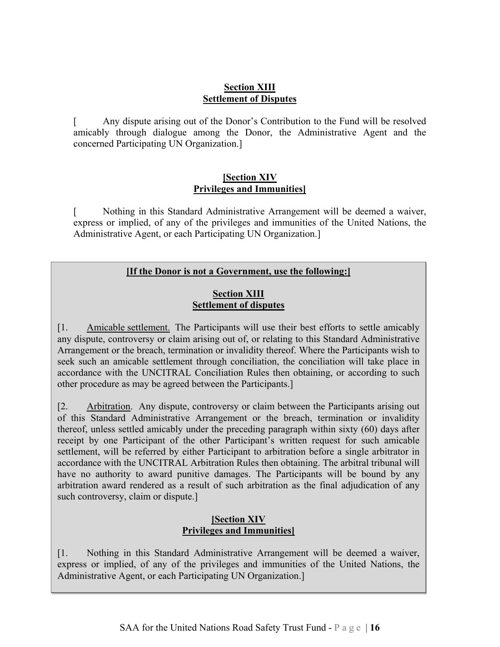# **Section XIII Settlement of Disputes**

[ Any dispute arising out of the Donor's Contribution to the Fund will be resolved amicably through dialogue among the Donor, the Administrative Agent and the concerned Participating UN Organization.]

# **[Section XIV Privileges and Immunities]**

[ Nothing in this Standard Administrative Arrangement will be deemed a waiver, express or implied, of any of the privileges and immunities of the United Nations, the Administrative Agent, or each Participating UN Organization.]

#### **Example 20 If the Donor is not a Government, use the following:** be resolved and the Donor, through dialogue among the Donor, the Donor, the Donor, the Administrative Agent and

# the concerned Participating UN Organization. **Section XIII Settlement of disputes**

[1. Amicable settlement. The Participants will use their best efforts to settle amicably any dispute, controversy or claim arising out of, or relating to this Standard Administrative Arrangement or the breach, termination or invalidity thereof. Where the Participants wish to seek such an amicable settlement through conciliation, the conciliation will take place in accordance with the UNCITRAL Conciliation Rules then obtaining, or according to such other procedure as may be agreed between the Participants.]

[2. Arbitration. Any dispute, controversy or claim between the Participants arising out of this Standard Administrative Arrangement or the breach, termination or invalidity thereof, unless settled amicably under the preceding paragraph within sixty (60) days after receipt by one Participant of the other Participant's written request for such amicable settlement, will be referred by either Participant to arbitration before a single arbitrator in accordance with the UNCITRAL Arbitration Rules then obtaining. The arbitral tribunal will have no authority to award punitive damages. The Participants will be bound by any arbitration award rendered as a result of such arbitration as the final adjudication of any such controversy, claim or dispute.]

# **[Section XIV Privileges and Immunities]**

[1. Nothing in this Standard Administrative Arrangement will be deemed a waiver, express or implied, of any of the privileges and immunities of the United Nations, the Administrative Agent, or each Participating UN Organization.]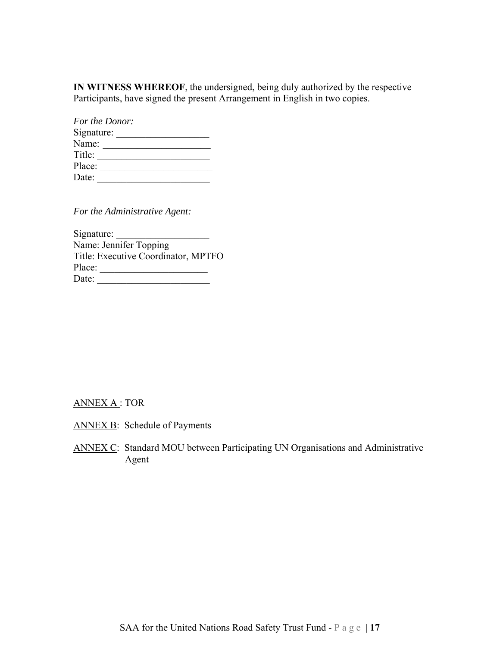**IN WITNESS WHEREOF**, the undersigned, being duly authorized by the respective Participants, have signed the present Arrangement in English in two copies.

|            | For the Donor: |  |
|------------|----------------|--|
| Signature: |                |  |
| Name:      |                |  |
| Title:     |                |  |
| Place:     |                |  |
| Date:      |                |  |

*For the Administrative Agent:* 

Signature: Name: Jennifer Topping Title: Executive Coordinator, MPTFO Place: \_\_\_\_\_\_\_\_\_\_\_\_\_\_\_\_\_\_\_\_\_\_ Date: \_\_\_\_\_\_\_\_\_\_\_\_\_\_\_\_\_\_\_\_\_\_\_

#### ANNEX A : TOR

- ANNEX B: Schedule of Payments
- ANNEX C: Standard MOU between Participating UN Organisations and Administrative Agent